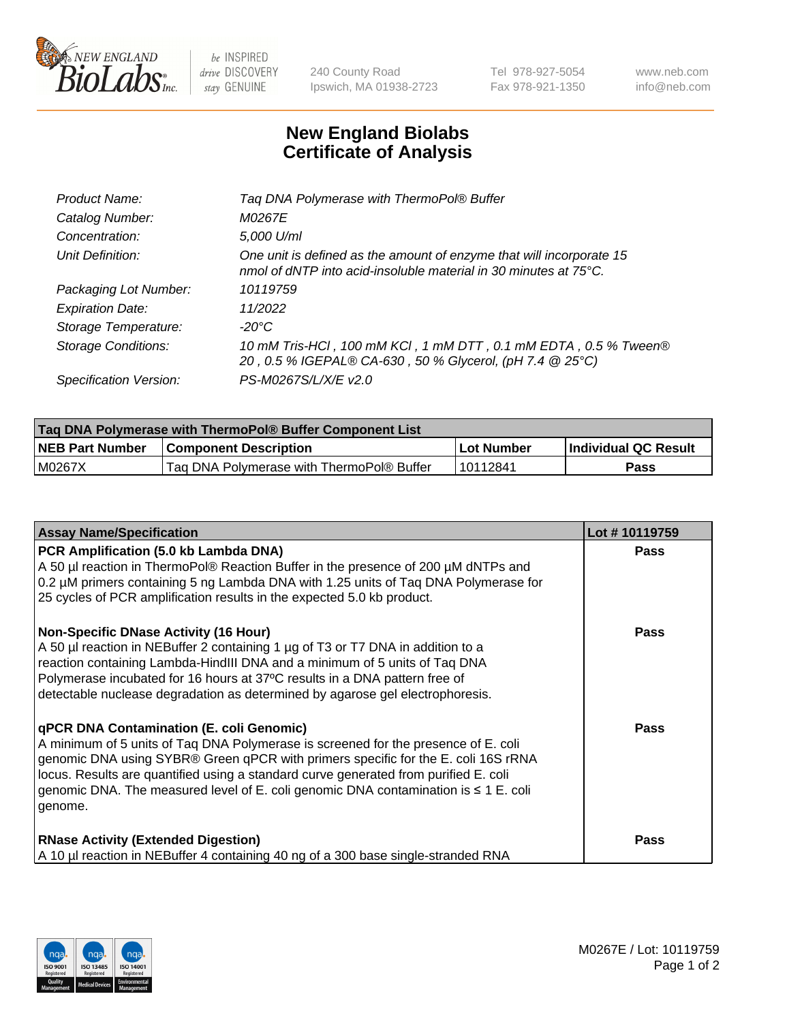

 $be$  INSPIRED drive DISCOVERY stay GENUINE

240 County Road Ipswich, MA 01938-2723 Tel 978-927-5054 Fax 978-921-1350 www.neb.com info@neb.com

## **New England Biolabs Certificate of Analysis**

| Product Name:              | Tag DNA Polymerase with ThermoPol® Buffer                                                                                                |
|----------------------------|------------------------------------------------------------------------------------------------------------------------------------------|
| Catalog Number:            | M0267E                                                                                                                                   |
| Concentration:             | 5,000 U/ml                                                                                                                               |
| Unit Definition:           | One unit is defined as the amount of enzyme that will incorporate 15<br>nmol of dNTP into acid-insoluble material in 30 minutes at 75°C. |
| Packaging Lot Number:      | 10119759                                                                                                                                 |
| <b>Expiration Date:</b>    | 11/2022                                                                                                                                  |
| Storage Temperature:       | $-20^{\circ}$ C                                                                                                                          |
| <b>Storage Conditions:</b> | 10 mM Tris-HCl, 100 mM KCl, 1 mM DTT, 0.1 mM EDTA, 0.5 % Tween®<br>20, 0.5 % IGEPAL® CA-630, 50 % Glycerol, (pH 7.4 @ 25°C)              |
| Specification Version:     | PS-M0267S/L/X/E v2.0                                                                                                                     |

| Taq DNA Polymerase with ThermoPol® Buffer Component List |                                           |              |                      |  |
|----------------------------------------------------------|-------------------------------------------|--------------|----------------------|--|
| <b>NEB Part Number</b>                                   | <b>Component Description</b>              | l Lot Number | Individual QC Result |  |
| M0267X                                                   | Tag DNA Polymerase with ThermoPol® Buffer | 10112841     | Pass                 |  |

| <b>Assay Name/Specification</b>                                                                                                                                                                                                                                                                                                                                                                               | Lot #10119759 |
|---------------------------------------------------------------------------------------------------------------------------------------------------------------------------------------------------------------------------------------------------------------------------------------------------------------------------------------------------------------------------------------------------------------|---------------|
| PCR Amplification (5.0 kb Lambda DNA)<br>A 50 µl reaction in ThermoPol® Reaction Buffer in the presence of 200 µM dNTPs and<br>0.2 µM primers containing 5 ng Lambda DNA with 1.25 units of Taq DNA Polymerase for<br>25 cycles of PCR amplification results in the expected 5.0 kb product.                                                                                                                  | <b>Pass</b>   |
| <b>Non-Specific DNase Activity (16 Hour)</b><br>A 50 µl reaction in NEBuffer 2 containing 1 µg of T3 or T7 DNA in addition to a<br>reaction containing Lambda-HindIII DNA and a minimum of 5 units of Taq DNA<br>Polymerase incubated for 16 hours at 37°C results in a DNA pattern free of<br>detectable nuclease degradation as determined by agarose gel electrophoresis.                                  | <b>Pass</b>   |
| qPCR DNA Contamination (E. coli Genomic)<br>A minimum of 5 units of Taq DNA Polymerase is screened for the presence of E. coli<br>genomic DNA using SYBR® Green qPCR with primers specific for the E. coli 16S rRNA<br>locus. Results are quantified using a standard curve generated from purified E. coli<br>genomic DNA. The measured level of E. coli genomic DNA contamination is ≤ 1 E. coli<br>genome. | Pass          |
| <b>RNase Activity (Extended Digestion)</b><br>A 10 µl reaction in NEBuffer 4 containing 40 ng of a 300 base single-stranded RNA                                                                                                                                                                                                                                                                               | <b>Pass</b>   |